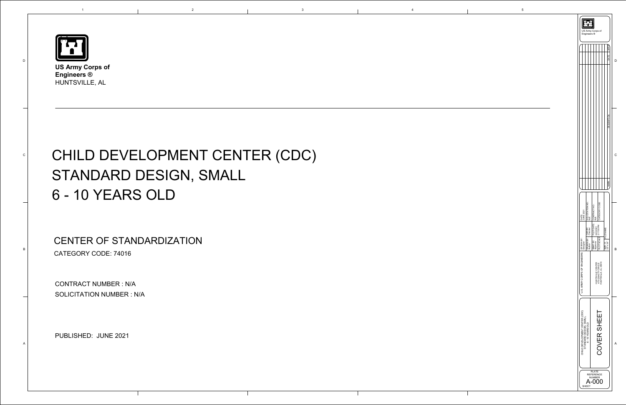

D

C

B

A

**US Army Corps of Engineers ®**  HUNTSVILLE, AL

1



## CHILD DEVELOPMENT CENTER (CDC) STANDARD DESIGN, SMALL 6 - 10 YEARS OLD

CONTRACT NUMBER : N/A SOLICITATION NUMBER : N/A

e 2021<br>PUBLISHED: JUNE 2021

## CENTER OF STANDARDIZATION CATEGORY CODE: 74016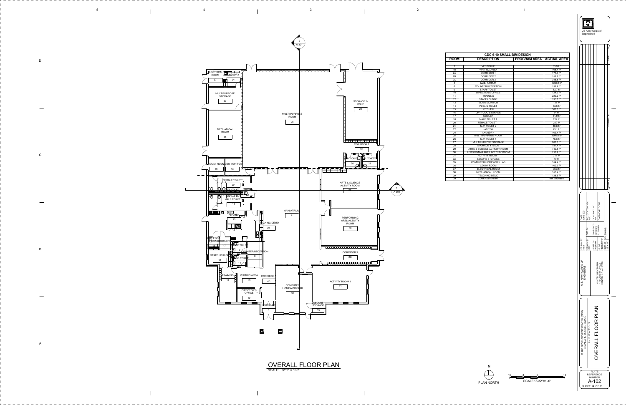| 16                     |  |  | 16 |  |
|------------------------|--|--|----|--|
| SCALE: $3/32" = 1'-0"$ |  |  |    |  |

 $\frac{1}{\sqrt{2}}$ PLAN NORTH







| <b>CDC 6-10 SMALL BIM DESIGN</b> |                               |                                   |                        |  |
|----------------------------------|-------------------------------|-----------------------------------|------------------------|--|
| <b>NOC</b>                       | <b>DESCRIPTION</b>            | <b>PROGRAM AREA   ACTUAL AREA</b> |                        |  |
|                                  |                               |                                   |                        |  |
| $\mathbf{1}$                     | <b>VESTIBULE</b>              |                                   | 65.9 ft <sup>2</sup>   |  |
| 1В<br>2A                         | <b>WAITING AREA</b>           |                                   | 168.4 ft <sup>2</sup>  |  |
|                                  | <b>CORRIDOR 1</b>             |                                   | 171.7 ft <sup>2</sup>  |  |
| 2B                               | <b>CORRIDOR 2</b>             |                                   | 159.7 ft <sup>2</sup>  |  |
| 2C                               | <b>CORRIDOR 3</b>             |                                   | 345.8 ft <sup>2</sup>  |  |
| $\overline{4}$                   | <b>MAIN ATRIUM</b>            |                                   | 1950.2 ft <sup>2</sup> |  |
| 8                                | COUNTER/RECEPTION             |                                   | 139.9 ft <sup>2</sup>  |  |
| $\boldsymbol{9}$                 | <b>STAFF TOILET</b>           |                                   | 63.7 ft <sup>2</sup>   |  |
| 10                               | <b>DIRECTOR'S OFFICE</b>      |                                   | 124.9 ft <sup>2</sup>  |  |
| 11                               | <b>TRAINING</b>               |                                   | 220.2 ft <sup>2</sup>  |  |
| 12                               | <b>STAFF LOUNGE</b>           |                                   | 135.1 ft <sup>2</sup>  |  |
| 13                               | <b>VIDEO MONITOR</b>          |                                   | 127 $ft^2$             |  |
| 14                               | PUBLIC TOILET                 |                                   | $63.6$ ft <sup>2</sup> |  |
| 15                               | <b>KITCHEN</b>                |                                   | 506.3 $ft^2$           |  |
| 16                               | DRY FOOD STORAGE              |                                   | 54 ft <sup>2</sup>     |  |
| 17                               | <b>COOLER</b>                 |                                   | 51.9 ft <sup>2</sup>   |  |
| 18                               | <b>MALE TOILET 1</b>          |                                   | $229$ ft <sup>2</sup>  |  |
| 20                               | <b>FEMALE TOILET 1</b>        |                                   | 229 ft <sup>2</sup>    |  |
| 21                               | M.P. TOILET 2                 |                                   | 80.8 ft <sup>2</sup>   |  |
| 22                               | <b>JANITOR</b>                |                                   | $23.1 \text{ ft}^2$    |  |
| 24                               | <b>LAUNDRY</b>                |                                   | 103.4 ft <sup>2</sup>  |  |
| $\overline{25}$                  | MULTI-PURPOSE ROOM            |                                   | 3360.6 ft <sup>2</sup> |  |
| 26                               | M.P. TOILET 1                 |                                   | 78.8 ft <sup>2</sup>   |  |
| 27                               | MULTIPURPOSE STORAGE          |                                   | 267.6 ft <sup>2</sup>  |  |
| 28                               | <b>STORAGE &amp; ISSUE</b>    |                                   | 787.4 ft <sup>2</sup>  |  |
| 29                               | ARTS & SCIENCE ACTIVITY ROOM  |                                   | 740.5 ft <sup>2</sup>  |  |
| 30                               | PERFORMING ARTS ACTIVITY ROOM |                                   | 716.2 ft <sup>2</sup>  |  |
| 31                               | <b>ACTIVITY ROOM 1</b>        |                                   | 711 ft <sup>2</sup>    |  |
| 33                               | <b>SECURE STORAGE</b>         |                                   | 49 ft <sup>2</sup>     |  |
| 35                               | <b>COMPUTER HOMEWORK LAB</b>  |                                   | 554.4 ft <sup>2</sup>  |  |
| 36                               | COMM. ROOM                    |                                   | 102.9 ft <sup>2</sup>  |  |
| 37                               | <b>ELECTRICAL ROOM</b>        |                                   | $90.3$ ft <sup>2</sup> |  |
| 38                               | MECHANICAL ROOM               |                                   | 553.4 ft <sup>2</sup>  |  |
| 39                               | <b>TEACHING DEMO</b>          |                                   | 128.5 ft <sup>2</sup>  |  |
| 39                               | <b>COVERED ENTRY</b>          |                                   | Not Enclosed           |  |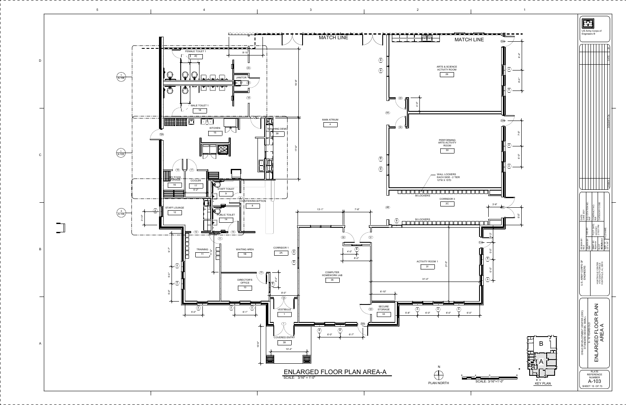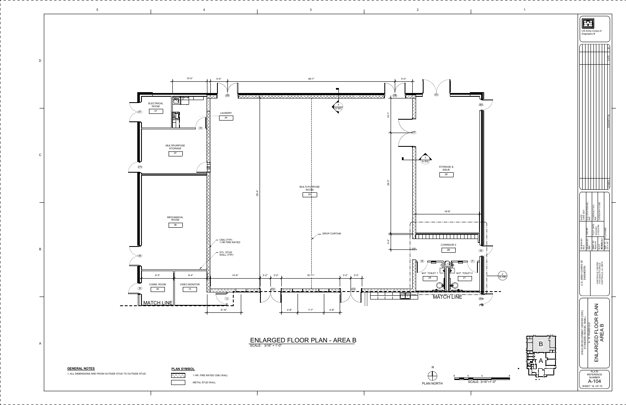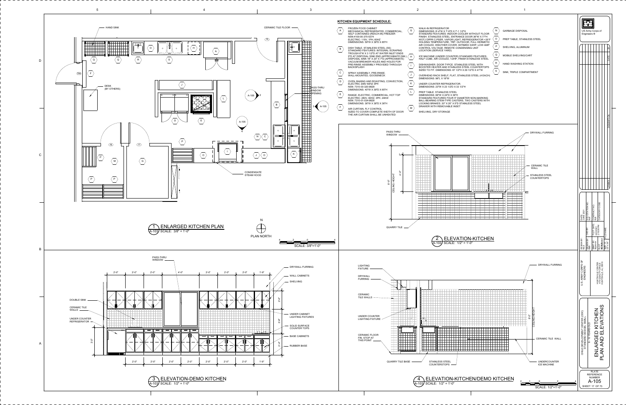<span id="page-4-0"></span>![](_page_4_Figure_0.jpeg)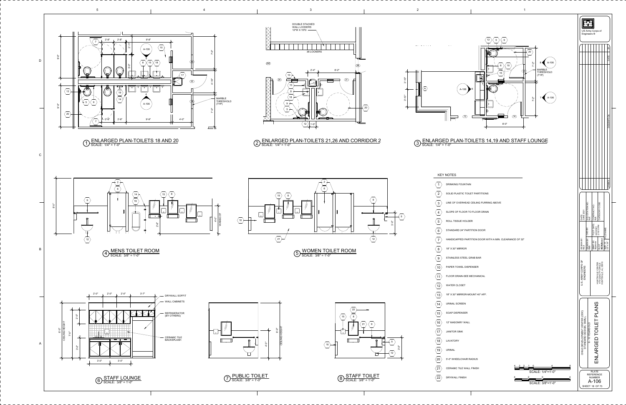<span id="page-5-0"></span>![](_page_5_Figure_0.jpeg)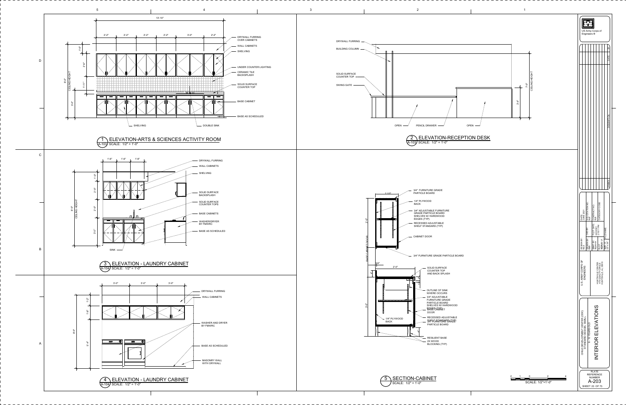![](_page_6_Figure_0.jpeg)